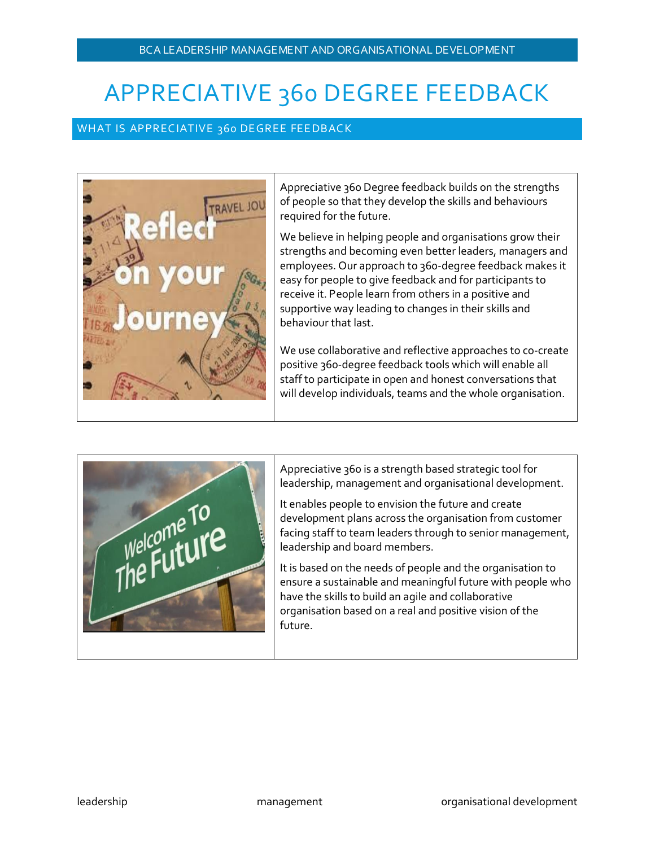# APPRECIATIVE 360 DEGREE FEEDBACK

#### WHAT IS APPRECIATIVE 360 DEGREE FEEDBACK



Appreciative 360 Degree feedback builds on the strengths of people so that they develop the skills and behaviours required for the future.

We believe in helping people and organisations grow their strengths and becoming even better leaders, managers and employees. Our approach to 360-degree feedback makes it easy for people to give feedback and for participants to receive it. People learn from others in a positive and supportive way leading to changes in their skills and behaviour that last.

We use collaborative and reflective approaches to co-create positive 360-degree feedback tools which will enable all staff to participate in open and honest conversations that will develop individuals, teams and the whole organisation.



Appreciative 360 is a strength based strategic tool for leadership, management and organisational development.

It enables people to envision the future and create development plans across the organisation from customer facing staff to team leaders through to senior management, leadership and board members.

It is based on the needs of people and the organisation to ensure a sustainable and meaningful future with people who have the skills to build an agile and collaborative organisation based on a real and positive vision of the future.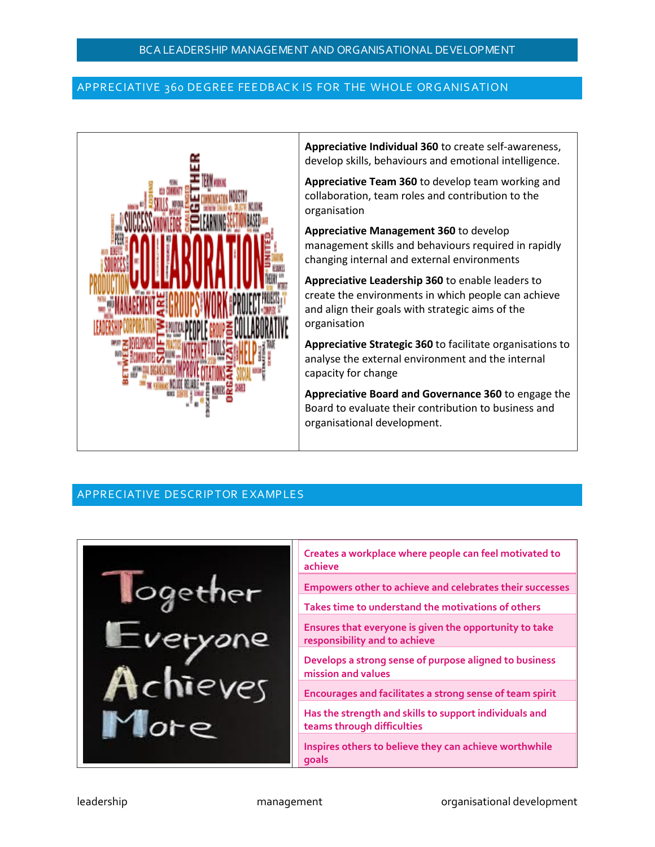## APPRECIATIVE 360 DEGREE FEEDBACK IS FOR THE WHOLE ORGANISATION



**Appreciative Individual 360** to create self-awareness, develop skills, behaviours and emotional intelligence.

**Appreciative Team 360** to develop team working and collaboration, team roles and contribution to the organisation

**Appreciative Management 360** to develop management skills and behaviours required in rapidly changing internal and external environments

**Appreciative Leadership 360** to enable leaders to create the environments in which people can achieve and align their goals with strategic aims of the organisation

**Appreciative Strategic 360** to facilitate organisations to analyse the external environment and the internal capacity for change

**Appreciative Board and Governance 360** to engage the Board to evaluate their contribution to business and organisational development.

## APPREC IATIVE DESCR IPTOR E XAMP LES



| Creates a workplace where people can feel motivated to<br>achieve                       |
|-----------------------------------------------------------------------------------------|
| <b>Empowers other to achieve and celebrates their successes</b>                         |
| Takes time to understand the motivations of others                                      |
| Ensures that everyone is given the opportunity to take<br>responsibility and to achieve |
| Develops a strong sense of purpose aligned to business<br>mission and values            |
| Encourages and facilitates a strong sense of team spirit                                |
| Has the strength and skills to support individuals and<br>teams through difficulties    |
| Inspires others to believe they can achieve worthwhile<br>qoals                         |